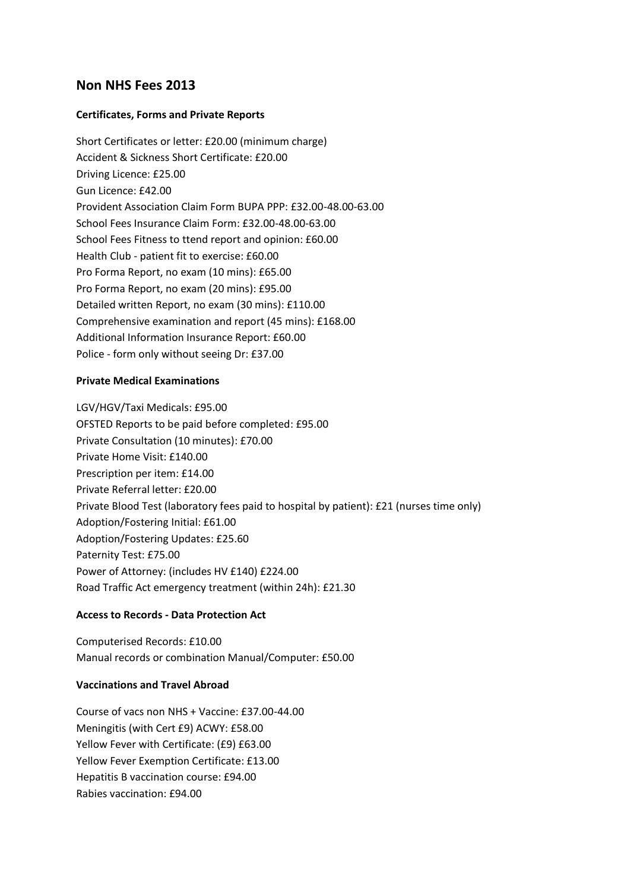# **Non NHS Fees 2013**

### **Certificates, Forms and Private Reports**

Short Certificates or letter: £20.00 (minimum charge) Accident & Sickness Short Certificate: £20.00 Driving Licence: £25.00 Gun Licence: £42.00 Provident Association Claim Form BUPA PPP: £32.00-48.00-63.00 School Fees Insurance Claim Form: £32.00-48.00-63.00 School Fees Fitness to ttend report and opinion: £60.00 Health Club - patient fit to exercise: £60.00 Pro Forma Report, no exam (10 mins): £65.00 Pro Forma Report, no exam (20 mins): £95.00 Detailed written Report, no exam (30 mins): £110.00 Comprehensive examination and report (45 mins): £168.00 Additional Information Insurance Report: £60.00 Police - form only without seeing Dr: £37.00

## **Private Medical Examinations**

LGV/HGV/Taxi Medicals: £95.00 OFSTED Reports to be paid before completed: £95.00 Private Consultation (10 minutes): £70.00 Private Home Visit: £140.00 Prescription per item: £14.00 Private Referral letter: £20.00 Private Blood Test (laboratory fees paid to hospital by patient): £21 (nurses time only) Adoption/Fostering Initial: £61.00 Adoption/Fostering Updates: £25.60 Paternity Test: £75.00 Power of Attorney: (includes HV £140) £224.00 Road Traffic Act emergency treatment (within 24h): £21.30

# **Access to Records - Data Protection Act**

Computerised Records: £10.00 Manual records or combination Manual/Computer: £50.00

### **Vaccinations and Travel Abroad**

Course of vacs non NHS + Vaccine: £37.00-44.00 Meningitis (with Cert £9) ACWY: £58.00 Yellow Fever with Certificate: (£9) £63.00 Yellow Fever Exemption Certificate: £13.00 Hepatitis B vaccination course: £94.00 Rabies vaccination: £94.00